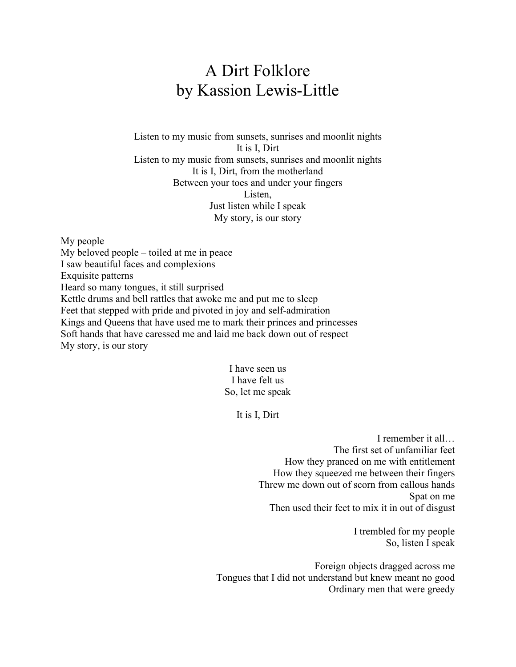## A Dirt Folklore by Kassion Lewis-Little

Listen to my music from sunsets, sunrises and moonlit nights It is I, Dirt Listen to my music from sunsets, sunrises and moonlit nights It is I, Dirt, from the motherland Between your toes and under your fingers Listen, Just listen while I speak My story, is our story

My people My beloved people – toiled at me in peace I saw beautiful faces and complexions Exquisite patterns Heard so many tongues, it still surprised Kettle drums and bell rattles that awoke me and put me to sleep Feet that stepped with pride and pivoted in joy and self-admiration Kings and Queens that have used me to mark their princes and princesses Soft hands that have caressed me and laid me back down out of respect My story, is our story

> I have seen us I have felt us So, let me speak

> > It is I, Dirt

I remember it all… The first set of unfamiliar feet How they pranced on me with entitlement How they squeezed me between their fingers Threw me down out of scorn from callous hands Spat on me Then used their feet to mix it in out of disgust

> I trembled for my people So, listen I speak

Foreign objects dragged across me Tongues that I did not understand but knew meant no good Ordinary men that were greedy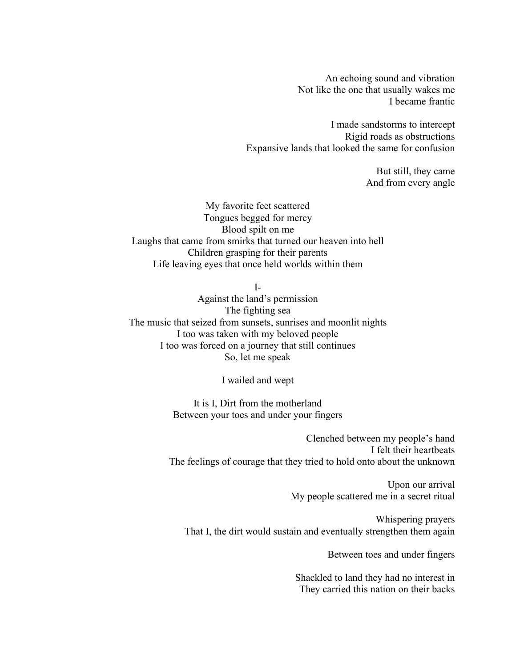An echoing sound and vibration Not like the one that usually wakes me I became frantic

I made sandstorms to intercept Rigid roads as obstructions Expansive lands that looked the same for confusion

> But still, they came And from every angle

My favorite feet scattered Tongues begged for mercy Blood spilt on me Laughs that came from smirks that turned our heaven into hell Children grasping for their parents Life leaving eyes that once held worlds within them

 $I-$ 

Against the land's permission The fighting sea The music that seized from sunsets, sunrises and moonlit nights I too was taken with my beloved people I too was forced on a journey that still continues So, let me speak

I wailed and wept

It is I, Dirt from the motherland Between your toes and under your fingers

Clenched between my people's hand I felt their heartbeats The feelings of courage that they tried to hold onto about the unknown

> Upon our arrival My people scattered me in a secret ritual

Whispering prayers That I, the dirt would sustain and eventually strengthen them again

Between toes and under fingers

Shackled to land they had no interest in They carried this nation on their backs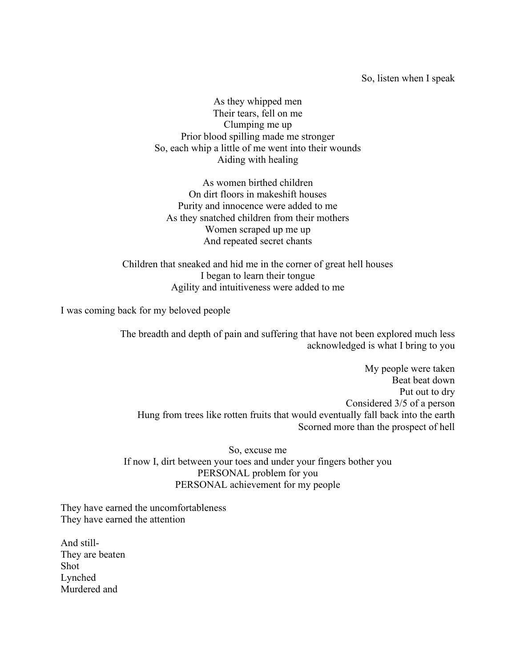So, listen when I speak

As they whipped men Their tears, fell on me Clumping me up Prior blood spilling made me stronger So, each whip a little of me went into their wounds Aiding with healing

As women birthed children On dirt floors in makeshift houses Purity and innocence were added to me As they snatched children from their mothers Women scraped up me up And repeated secret chants

Children that sneaked and hid me in the corner of great hell houses I began to learn their tongue Agility and intuitiveness were added to me

I was coming back for my beloved people

The breadth and depth of pain and suffering that have not been explored much less acknowledged is what I bring to you

My people were taken Beat beat down Put out to dry Considered 3/5 of a person Hung from trees like rotten fruits that would eventually fall back into the earth Scorned more than the prospect of hell

So, excuse me If now I, dirt between your toes and under your fingers bother you PERSONAL problem for you PERSONAL achievement for my people

They have earned the uncomfortableness They have earned the attention

And still-They are beaten Shot Lynched Murdered and